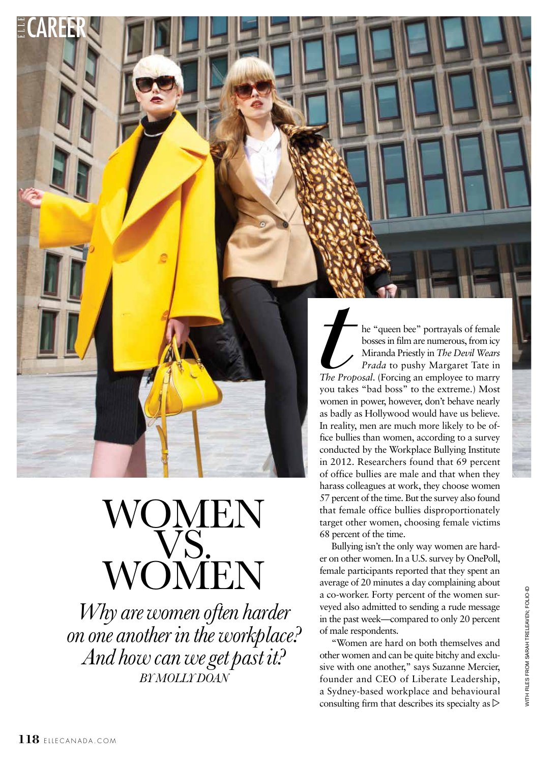he "queen bee" portrayals of female bosses in film are numerous, from icy Miranda Priestly in *The Devil Wears Prada* to pushy Margaret Tate in *The Proposal*. (Forcing an employee to marry you takes "bad boss" to the extreme.) Most women in power, however, don't behave nearly as badly as Hollywood would have us believe. In reality, men are much more likely to be office bullies than women, according to a survey conducted by the Workplace Bullying Institute in 2012. Researchers found that 69 percent of office bullies are male and that when they harass colleagues at work, they choose women 57 percent of the time. But the survey also found that female office bullies disproportionately target other women, choosing female victims 68 percent of the time. *the Prop* you take

Bullying isn't the only way women are harder on other women. In a U.S. survey by OnePoll, female participants reported that they spent an average of 20 minutes a day complaining about a co-worker. Forty percent of the women surveyed also admitted to sending a rude message in the past week—compared to only 20 percent of male respondents.

"Women are hard on both themselves and other women and can be quite bitchy and exclusive with one another," says Suzanne Mercier, founder and CEO of Liberate Leadership, a Sydney-based workplace and behavioural consulting firm that describes its specialty as  $\triangleright$ 

*Why are women often harder* 

WOMEN

WOMEN

VS.<br>Note

*on one another in the workplace?* 

*And how can we get past it? BY MOLLY DOAN*

CAREER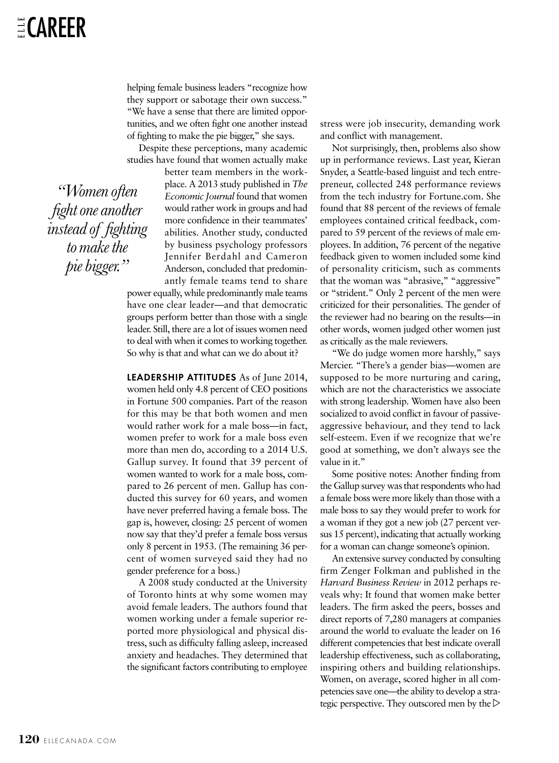helping female business leaders "recognize how they support or sabotage their own success." "We have a sense that there are limited opportunities, and we often fight one another instead of fighting to make the pie bigger," she says.

Despite these perceptions, many academic studies have found that women actually make

better team members in the workplace. A 2013 study published in *The Economic Journal* found that women would rather work in groups and had more confidence in their teammates' abilities. Another study, conducted by business psychology professors Jennifer Berdahl and Cameron Anderson, concluded that predominantly female teams tend to share

power equally, while predominantly male teams have one clear leader—and that democratic groups perform better than those with a single leader. Still, there are a lot of issues women need to deal with when it comes to working together. So why is that and what can we do about it?

**LEADERSHIP ATTITUDES** As of June 2014, women held only 4.8 percent of CEO positions in Fortune 500 companies. Part of the reason for this may be that both women and men would rather work for a male boss—in fact, women prefer to work for a male boss even more than men do, according to a 2014 U.S. Gallup survey. It found that 39 percent of women wanted to work for a male boss, compared to 26 percent of men. Gallup has conducted this survey for 60 years, and women have never preferred having a female boss. The gap is, however, closing: 25 percent of women now say that they'd prefer a female boss versus only 8 percent in 1953. (The remaining 36 percent of women surveyed said they had no gender preference for a boss.)

A 2008 study conducted at the University of Toronto hints at why some women may avoid female leaders. The authors found that women working under a female superior reported more physiological and physical distress, such as difficulty falling asleep, increased anxiety and headaches. They determined that the significant factors contributing to employee stress were job insecurity, demanding work and conflict with management.

Not surprisingly, then, problems also show up in performance reviews. Last year, Kieran Snyder, a Seattle-based linguist and tech entrepreneur, collected 248 performance reviews from the tech industry for Fortune.com. She found that 88 percent of the reviews of female employees contained critical feedback, compared to 59 percent of the reviews of male employees. In addition, 76 percent of the negative feedback given to women included some kind of personality criticism, such as comments that the woman was "abrasive," "aggressive" or "strident." Only 2 percent of the men were criticized for their personalities. The gender of the reviewer had no bearing on the results—in other words, women judged other women just as critically as the male reviewers.

"We do judge women more harshly," says Mercier. "There's a gender bias—women are supposed to be more nurturing and caring, which are not the characteristics we associate with strong leadership. Women have also been socialized to avoid conflict in favour of passiveaggressive behaviour, and they tend to lack self-esteem. Even if we recognize that we're good at something, we don't always see the value in it."

Some positive notes: Another finding from the Gallup survey was that respondents who had a female boss were more likely than those with a male boss to say they would prefer to work for a woman if they got a new job (27 percent versus 15 percent), indicating that actually working for a woman can change someone's opinion.

An extensive survey conducted by consulting firm Zenger Folkman and published in the *Harvard Business Review* in 2012 perhaps reveals why: It found that women make better leaders. The firm asked the peers, bosses and direct reports of 7,280 managers at companies around the world to evaluate the leader on 16 different competencies that best indicate overall leadership effectiveness, such as collaborating, inspiring others and building relationships. Women, on average, scored higher in all competencies save one—the ability to develop a strategic perspective. They outscored men by the  $\triangleright$ 

*"Women often fight one another instead of fighting to make the pie bigger."*